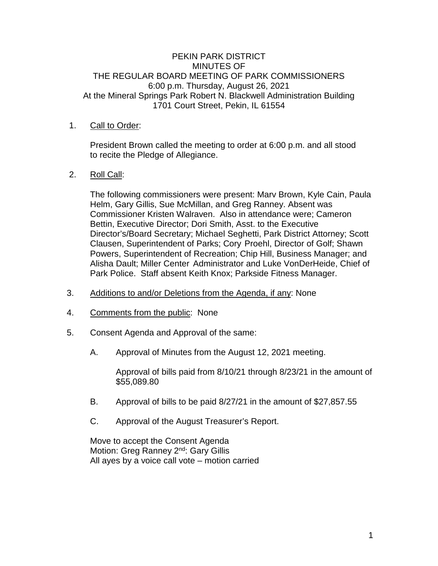### PEKIN PARK DISTRICT MINUTES OF THE REGULAR BOARD MEETING OF PARK COMMISSIONERS 6:00 p.m. Thursday, August 26, 2021 At the Mineral Springs Park Robert N. Blackwell Administration Building 1701 Court Street, Pekin, IL 61554

## 1. Call to Order:

President Brown called the meeting to order at 6:00 p.m. and all stood to recite the Pledge of Allegiance.

#### 2. Roll Call:

The following commissioners were present: Marv Brown, Kyle Cain, Paula Helm, Gary Gillis, Sue McMillan, and Greg Ranney. Absent was Commissioner Kristen Walraven. Also in attendance were; Cameron Bettin, Executive Director; Dori Smith, Asst. to the Executive Director's/Board Secretary; Michael Seghetti, Park District Attorney; Scott Clausen, Superintendent of Parks; Cory Proehl, Director of Golf; Shawn Powers, Superintendent of Recreation; Chip Hill, Business Manager; and Alisha Dault; Miller Center Administrator and Luke VonDerHeide, Chief of Park Police. Staff absent Keith Knox; Parkside Fitness Manager.

- 3. Additions to and/or Deletions from the Agenda, if any: None
- 4. Comments from the public: None
- 5. Consent Agenda and Approval of the same:
	- A. Approval of Minutes from the August 12, 2021 meeting.

Approval of bills paid from 8/10/21 through 8/23/21 in the amount of \$55,089.80

- B. Approval of bills to be paid 8/27/21 in the amount of \$27,857.55
- C. Approval of the August Treasurer's Report.

Move to accept the Consent Agenda Motion: Greg Ranney 2<sup>nd</sup>: Gary Gillis All ayes by a voice call vote – motion carried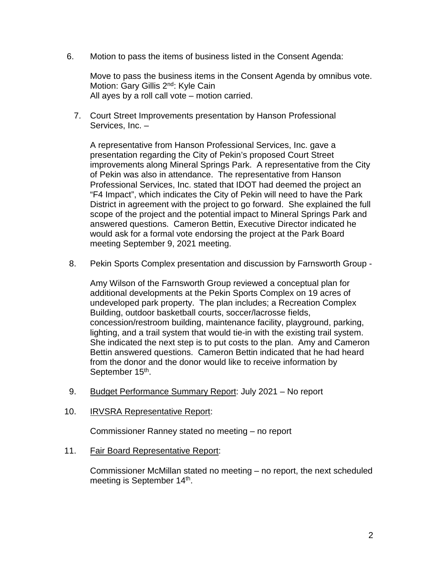6. Motion to pass the items of business listed in the Consent Agenda:

Move to pass the business items in the Consent Agenda by omnibus vote. Motion: Gary Gillis 2<sup>nd</sup>: Kyle Cain All ayes by a roll call vote – motion carried.

 7. Court Street Improvements presentation by Hanson Professional Services, Inc. –

A representative from Hanson Professional Services, Inc. gave a presentation regarding the City of Pekin's proposed Court Street improvements along Mineral Springs Park. A representative from the City of Pekin was also in attendance. The representative from Hanson Professional Services, Inc. stated that IDOT had deemed the project an "F4 Impact", which indicates the City of Pekin will need to have the Park District in agreement with the project to go forward. She explained the full scope of the project and the potential impact to Mineral Springs Park and answered questions. Cameron Bettin, Executive Director indicated he would ask for a formal vote endorsing the project at the Park Board meeting September 9, 2021 meeting.

8. Pekin Sports Complex presentation and discussion by Farnsworth Group -

Amy Wilson of the Farnsworth Group reviewed a conceptual plan for additional developments at the Pekin Sports Complex on 19 acres of undeveloped park property. The plan includes; a Recreation Complex Building, outdoor basketball courts, soccer/lacrosse fields, concession/restroom building, maintenance facility, playground, parking, lighting, and a trail system that would tie-in with the existing trail system. She indicated the next step is to put costs to the plan. Amy and Cameron Bettin answered questions. Cameron Bettin indicated that he had heard from the donor and the donor would like to receive information by September 15<sup>th</sup>.

- 9. Budget Performance Summary Report: July 2021 No report
- 10. IRVSRA Representative Report:

Commissioner Ranney stated no meeting – no report

11. Fair Board Representative Report:

Commissioner McMillan stated no meeting – no report, the next scheduled meeting is September 14<sup>th</sup>.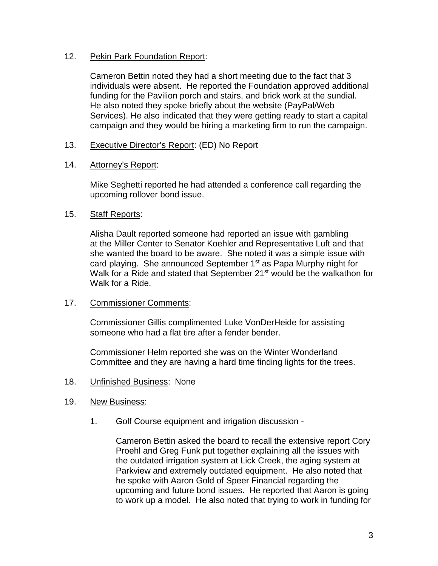## 12. Pekin Park Foundation Report:

Cameron Bettin noted they had a short meeting due to the fact that 3 individuals were absent. He reported the Foundation approved additional funding for the Pavilion porch and stairs, and brick work at the sundial. He also noted they spoke briefly about the website (PayPal/Web Services). He also indicated that they were getting ready to start a capital campaign and they would be hiring a marketing firm to run the campaign.

# 13. Executive Director's Report: (ED) No Report

## 14. Attorney's Report:

Mike Seghetti reported he had attended a conference call regarding the upcoming rollover bond issue.

## 15. Staff Reports:

Alisha Dault reported someone had reported an issue with gambling at the Miller Center to Senator Koehler and Representative Luft and that she wanted the board to be aware. She noted it was a simple issue with card playing. She announced September 1<sup>st</sup> as Papa Murphy night for Walk for a Ride and stated that September 21<sup>st</sup> would be the walkathon for Walk for a Ride.

## 17. Commissioner Comments:

Commissioner Gillis complimented Luke VonDerHeide for assisting someone who had a flat tire after a fender bender.

Commissioner Helm reported she was on the Winter Wonderland Committee and they are having a hard time finding lights for the trees.

- 18. Unfinished Business: None
- 19. New Business:
	- 1. Golf Course equipment and irrigation discussion -

Cameron Bettin asked the board to recall the extensive report Cory Proehl and Greg Funk put together explaining all the issues with the outdated irrigation system at Lick Creek, the aging system at Parkview and extremely outdated equipment. He also noted that he spoke with Aaron Gold of Speer Financial regarding the upcoming and future bond issues. He reported that Aaron is going to work up a model. He also noted that trying to work in funding for